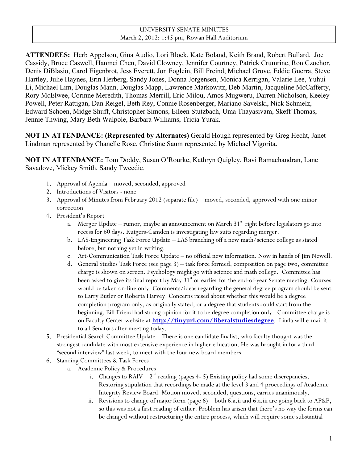# UNIVERSITY SENATE MINUTES March 2, 2012: 1:45 pm, Rowan Hall Auditorium

**ATTENDEES:** Herb Appelson, Gina Audio, Lori Block, Kate Boland, Keith Brand, Robert Bullard, Joe Cassidy, Bruce Caswell, Hanmei Chen, David Clowney, Jennifer Courtney, Patrick Crumrine, Ron Czochor, Denis DiBlasio, Carol Eigenbrot, Jess Everett, Jon Foglein, Bill Freind, Michael Grove, Eddie Guerra, Steve Hartley, Julie Haynes, Erin Herberg, Sandy Jones, Donna Jorgensen, Monica Kerrigan, Valarie Lee, Yuhui Li, Michael Lim, Douglas Mann, Douglas Mapp, Lawrence Markowitz, Deb Martin, Jacqueline McCafferty, Rory McElwee, Corinne Meredith, Thomas Merrill, Eric Milou, Amos Mugweru, Darren Nicholson, Keeley Powell, Peter Rattigan, Dan Reigel, Beth Rey, Connie Rosenberger, Mariano Savelski, Nick Schmelz, Edward Schoen, Midge Shuff, Christopher Simons, Eileen Stutzbach, Uma Thayasivam, Skeff Thomas, Jennie Thwing, Mary Beth Walpole, Barbara Williams, Tricia Yurak.

**NOT IN ATTENDANCE: (Represented by Alternates)** Gerald Hough represented by Greg Hecht, Janet Lindman represented by Chanelle Rose, Christine Saum represented by Michael Vigorita.

**NOT IN ATTENDANCE:** Tom Doddy, Susan O'Rourke, Kathryn Quigley, Ravi Ramachandran, Lane Savadove, Mickey Smith, Sandy Tweedie.

- 1. Approval of Agenda moved, seconded, approved
- 2. Introductions of Visitors none
- 3. Approval of Minutes from February 2012 (separate file) moved, seconded, approved with one minor correction
- 4. President's Report
	- a. Merger Update rumor, maybe an announcement on March  $31<sup>st</sup>$  right before legislators go into recess for 60 days. Rutgers-Camden is investigating law suits regarding merger.
	- b. LAS-Engineering Task Force Update LAS branching off a new math/science college as stated before, but nothing yet in writing.
	- c. Art-Communication Task Force Update no official new information. Now in hands of Jim Newell.
	- d. General Studies Task Force (see page 3) task force formed, composition on page two, committee charge is shown on screen. Psychology might go with science and math college. Committee has been asked to give its final report by May  $31<sup>st</sup>$  or earlier for the end-of-year Senate meeting. Courses would be taken on-line only. Comments/ideas regarding the general degree program should be sent to Larry Butler or Roberta Harvey. Concerns raised about whether this would be a degree completion program only, as originally stated, or a degree that students could start from the beginning. Bill Friend had strong opinion for it to be degree completion only. Committee charge is on Faculty Center website at **http://tinyurl.com/liberalstudiesdegree**. Linda will e-mail it to all Senators after meeting today.
- 5. Presidential Search Committee Update There is one candidate finalist, who faculty thought was the strongest candidate with most extensive experience in higher education. He was brought in for a third "second interview" last week, to meet with the four new board members.
- 6. Standing Committees & Task Forces
	- a. Academic Policy & Procedures
		- i. Changes to  $RAIV 2<sup>nd</sup>$  reading (pages 4- 5) Existing policy had some discrepancies. Restoring stipulation that recordings be made at the level 3 and 4 proceedings of Academic Integrity Review Board. Motion moved, seconded, questions, carries unanimously.
		- ii. Revisions to change of major form (page 6) both 6.a.ii and 6.a.iii are going back to AP&P, so this was not a first reading of either. Problem has arisen that there's no way the forms can be changed without restructuring the entire process, which will require some substantial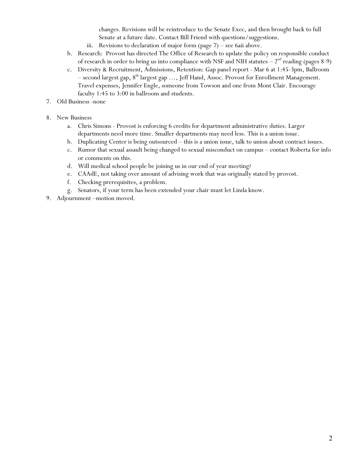changes. Revisions will be reintroduce to the Senate Exec, and then brought back to full Senate at a future date. Contact Bill Friend with questions/suggestions.

- iii. Revisions to declaration of major form (page 7) see 6aii above.
- b. Research: Provost has directed The Office of Research to update the policy on responsible conduct of research in order to bring us into compliance with NSF and NIH statutes  $-2<sup>nd</sup>$  reading (pages 8-9)
- c. Diversity & Recruitment, Admissions, Retention: Gap panel report Mar 6 at 1:45-3pm, Ballroom – second largest gap,  $8<sup>th</sup>$  largest gap ..., Jeff Hand, Assoc. Provost for Enrollment Management. Travel expenses, Jennifer Engle, someone from Towson and one from Mont Clair. Encourage faculty 1:45 to 3:00 in ballroom and students.
- 7. Old Business -none
- 8. New Business
	- a. Chris Simons Provost is enforcing 6 credits for department administrative duties. Larger departments need more time. Smaller departments may need less. This is a union issue.
	- b. Duplicating Center is being outsourced this is a union issue, talk to union about contract issues.
	- c. Rumor that sexual assault being changed to sexual misconduct on campus contact Roberta for info or comments on this.
	- d. Will medical school people be joining us in our end of year meeting?
	- e. CAAdE, not taking over amount of advising work that was originally stated by provost.
	- f. Checking prerequisites, a problem.
	- g. Senators, if your term has been extended your chair must let Linda know.
- 9. Adjournment –motion moved.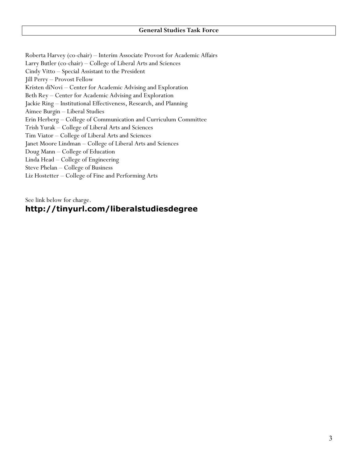Roberta Harvey (co-chair) – Interim Associate Provost for Academic Affairs Larry Butler (co-chair) – College of Liberal Arts and Sciences Cindy Vitto – Special Assistant to the President Jill Perry – Provost Fellow Kristen diNovi – Center for Academic Advising and Exploration Beth Rey – Center for Academic Advising and Exploration Jackie Ring – Institutional Effectiveness, Research, and Planning Aimee Burgin – Liberal Studies Erin Herberg – College of Communication and Curriculum Committee Trish Yurak – College of Liberal Arts and Sciences Tim Viator – College of Liberal Arts and Sciences Janet Moore Lindman – College of Liberal Arts and Sciences Doug Mann – College of Education Linda Head – College of Engineering Steve Phelan – College of Business Liz Hostetter – College of Fine and Performing Arts

See link below for charge.

# **http://tinyurl.com/liberalstudiesdegree**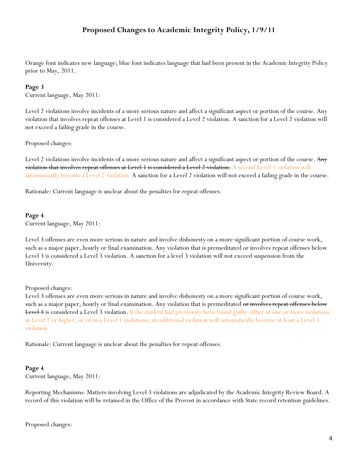# **Proposed Changes to Academic Integrity Policy, 1/9/11**

Orange font indicates new language; blue font indicates language that had been present in the Academic Integrity Policy prior to May, 2011.

### **Page 3**

Current language, May 2011:

Level 2 violations involve incidents of a more serious nature and affect a significant aspect or portion of the course. Any violation that involves repeat offenses at Level 1 is considered a Level 2 violation. A sanction for a Level 2 violation will not exceed a failing grade in the course.

Proposed changes:

Level 2 violations involve incidents of a more serious nature and affect a significant aspect or portion of the course. Any violation that involves repeat offenses at Level 1 is considered a Level 2 violation. A second Level 1 violation will automatically become a Level 2 violation. A sanction for a Level 2 violation will not exceed a failing grade in the course.

Rationale: Current language is unclear about the penalties for repeat offenses.

#### **Page 4**

Current language, May 2011:

Level 3 offenses are even more serious in nature and involve dishonesty on a more significant portion of course work, such as a major paper, hourly or final examination. Any violation that is premeditated or involves repeat offenses below Level 3 is considered a Level 3 violation. A sanction for a level 3 violation will not exceed suspension from the University.

#### Proposed changes:

Level 3 offenses are even more serious in nature and involve dishonesty on a more significant portion of course work, such as a major paper, hourly or final examination. Any violation that is premeditated <del>or involves repeat offenses below</del> Level 3 is considered a Level 3 violation. If the student had previously been found guilty either of one or more violations at Level 2 or higher, or of two Level 1 violations, an additional violation will automatically become at least a Level 3 violation.

Rationale: Current language is unclear about the penalties for repeat offenses.

#### **Page 4**

Current language, May 2011:

Reporting Mechanisms: Matters involving Level 3 violations are adjudicated by the Academic Integrity Review Board. A record of this violation will be retained in the Office of the Provost in accordance with State record retention guidelines.

Proposed changes: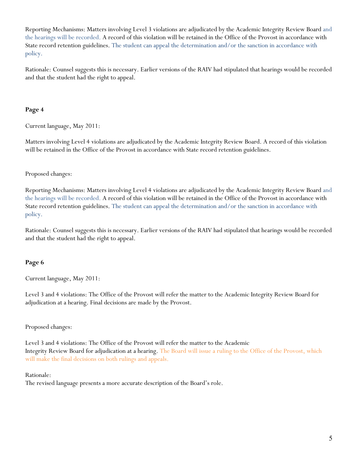Reporting Mechanisms: Matters involving Level 3 violations are adjudicated by the Academic Integrity Review Board and the hearings will be recorded. A record of this violation will be retained in the Office of the Provost in accordance with State record retention guidelines. The student can appeal the determination and/or the sanction in accordance with policy.

Rationale: Counsel suggests this is necessary. Earlier versions of the RAIV had stipulated that hearings would be recorded and that the student had the right to appeal.

# **Page 4**

Current language, May 2011:

Matters involving Level 4 violations are adjudicated by the Academic Integrity Review Board. A record of this violation will be retained in the Office of the Provost in accordance with State record retention guidelines.

## Proposed changes:

Reporting Mechanisms: Matters involving Level 4 violations are adjudicated by the Academic Integrity Review Board and the hearings will be recorded. A record of this violation will be retained in the Office of the Provost in accordance with State record retention guidelines. The student can appeal the determination and/or the sanction in accordance with policy.

Rationale: Counsel suggests this is necessary. Earlier versions of the RAIV had stipulated that hearings would be recorded and that the student had the right to appeal.

### **Page 6**

Current language, May 2011:

Level 3 and 4 violations: The Office of the Provost will refer the matter to the Academic Integrity Review Board for adjudication at a hearing. Final decisions are made by the Provost.

### Proposed changes:

Level 3 and 4 violations: The Office of the Provost will refer the matter to the Academic Integrity Review Board for adjudication at a hearing. The Board will issue a ruling to the Office of the Provost, which will make the final decisions on both rulings and appeals.

### Rationale:

The revised language presents a more accurate description of the Board's role.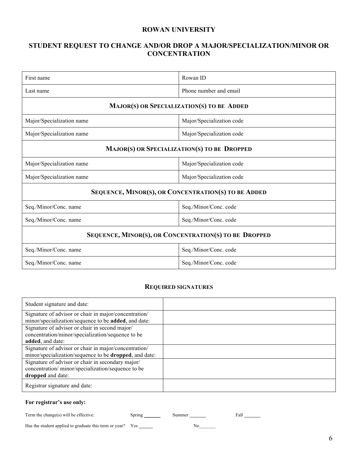## **ROWAN UNIVERSITY**

# **STUDENT REQUEST TO CHANGE AND/OR DROP A MAJOR/SPECIALIZATION/MINOR OR CONCENTRATION**

| First name                                            | Rowan ID                  |  |  |
|-------------------------------------------------------|---------------------------|--|--|
| Last name                                             | Phone number and email    |  |  |
| MAJOR(S) OR SPECIALIZATION(S) TO BE ADDED             |                           |  |  |
| Major/Specialization name                             | Major/Specialization code |  |  |
| Major/Specialization name                             | Major/Specialization code |  |  |
| MAJOR(S) OR SPECIALIZATION(S) TO BE DROPPED           |                           |  |  |
| Major/Specialization name                             | Major/Specialization code |  |  |
| Major/Specialization name                             | Major/Specialization code |  |  |
| SEQUENCE, MINOR(S), OR CONCENTRATION(S) TO BE ADDED   |                           |  |  |
| Seq./Minor/Conc. name                                 | Seq./Minor/Conc. code     |  |  |
| Seq./Minor/Conc. name                                 | Seq./Minor/Conc. code     |  |  |
| SEQUENCE, MINOR(S), OR CONCENTRATION(S) TO BE DROPPED |                           |  |  |
| Seq./Minor/Conc. name                                 | Seq./Minor/Conc. code     |  |  |
| Seq./Minor/Conc. name                                 | Seq./Minor/Conc. code     |  |  |

### **REQUIRED SIGNATURES**

| Student signature and date:                                    |  |
|----------------------------------------------------------------|--|
| Signature of advisor or chair in major/concentration/          |  |
| minor/specialization/sequence to be added, and date:           |  |
| Signature of advisor or chair in second major/                 |  |
| concentration/minor/specialization/sequence to be              |  |
| added, and date:                                               |  |
| Signature of advisor or chair in major/concentration/          |  |
| minor/specialization/sequence to be <b>dropped</b> , and date: |  |
| Signature of advisor or chair in secondary major/              |  |
| concentration/minor/specialization/sequence to be              |  |
| dropped and date:                                              |  |
| Registrar signature and date:                                  |  |

#### **For registrar's use only:**

Term the change(s) will be effective: Spring Summer Summer Fall **Fall** Equation 2.

Has the student applied to graduate this term or year? Yes \_\_\_\_\_\_\_\_\_ No\_\_\_\_\_\_\_\_\_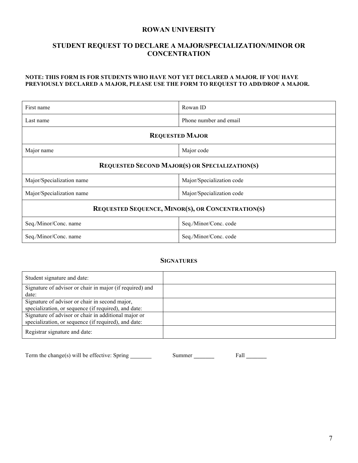## **ROWAN UNIVERSITY**

# **STUDENT REQUEST TO DECLARE A MAJOR/SPECIALIZATION/MINOR OR CONCENTRATION**

### **NOTE: THIS FORM IS FOR STUDENTS WHO HAVE NOT YET DECLARED A MAJOR. IF YOU HAVE PREVIOUSLY DECLARED A MAJOR, PLEASE USE THE FORM TO REQUEST TO ADD/DROP A MAJOR.**

| First name                                               | Rowan ID                  |  |  |
|----------------------------------------------------------|---------------------------|--|--|
| Last name                                                | Phone number and email    |  |  |
| <b>REQUESTED MAJOR</b>                                   |                           |  |  |
| Major name                                               | Major code                |  |  |
| <b>REQUESTED SECOND MAJOR(S) OR SPECIALIZATION(S)</b>    |                           |  |  |
| Major/Specialization name                                | Major/Specialization code |  |  |
| Major/Specialization name                                | Major/Specialization code |  |  |
| <b>REQUESTED SEQUENCE, MINOR(S), OR CONCENTRATION(S)</b> |                           |  |  |
| Seq./Minor/Conc. name                                    | Seq./Minor/Conc. code     |  |  |
| Seq./Minor/Conc. name                                    | Seq./Minor/Conc. code     |  |  |

# **SIGNATURES**

| Student signature and date:                              |  |
|----------------------------------------------------------|--|
| Signature of advisor or chair in major (if required) and |  |
| date:                                                    |  |
| Signature of advisor or chair in second major,           |  |
| specialization, or sequence (if required), and date:     |  |
| Signature of advisor or chair in additional major or     |  |
| specialization, or sequence (if required), and date:     |  |
| Registrar signature and date:                            |  |

| Term the change(s) will be effective: Spring | Summer | Fall |
|----------------------------------------------|--------|------|
|----------------------------------------------|--------|------|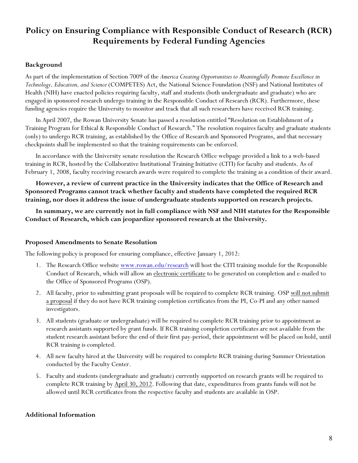# **Policy on Ensuring Compliance with Responsible Conduct of Research (RCR) Requirements by Federal Funding Agencies**

# **Background**

As part of the implementation of Section 7009 of the *America Creating Opportunities to Meaningfully Promote Excellence in Technology, Education, and Science* (COMPETES) Act, the National Science Foundation (NSF) and National Institutes of Health (NIH) have enacted policies requiring faculty, staff and students (both undergraduate and graduate) who are engaged in sponsored research undergo training in the Responsible Conduct of Research (RCR). Furthermore, these funding agencies require the University to monitor and track that all such researchers have received RCR training.

In April 2007, the Rowan University Senate has passed a resolution entitled "Resolution on Establishment of a Training Program for Ethical & Responsible Conduct of Research." The resolution requires faculty and graduate students (only) to undergo RCR training, as established by the Office of Research and Sponsored Programs, and that necessary checkpoints shall be implemented so that the training requirements can be enforced.

In accordance with the University senate resolution the Research Office webpage provided a link to a web-based training in RCR, hosted by the Collaborative Institutional Training Initiative (CITI) for faculty and students. As of February 1, 2008, faculty receiving research awards were required to complete the training as a condition of their award.

**However, a review of current practice in the University indicates that the Office of Research and Sponsored Programs cannot track whether faculty and students have completed the required RCR training, nor does it address the issue of undergraduate students supported on research projects.**

**In summary, we are currently not in full compliance with NSF and NIH statutes for the Responsible Conduct of Research, which can jeopardize sponsored research at the University.**

## **Proposed Amendments to Senate Resolution**

The following policy is proposed for ensuring compliance, effective January 1, 2012:

- 1. The Research Office website www.rowan.edu/research will host the CITI training module for the Responsible Conduct of Research, which will allow an electronic certificate to be generated on completion and e-mailed to the Office of Sponsored Programs (OSP).
- 2. All faculty, prior to submitting grant proposals will be required to complete RCR training. OSP will not submit a proposal if they do not have RCR training completion certificates from the PI, Co-PI and any other named investigators.
- 3. All students (graduate or undergraduate) will be required to complete RCR training prior to appointment as research assistants supported by grant funds. If RCR training completion certificates are not available from the student research assistant before the end of their first pay-period, their appointment will be placed on hold, until RCR training is completed.
- 4. All new faculty hired at the University will be required to complete RCR training during Summer Orientation conducted by the Faculty Center.
- 5. Faculty and students (undergraduate and graduate) currently supported on research grants will be required to complete RCR training by April 30, 2012. Following that date, expenditures from grants funds will not be allowed until RCR certificates from the respective faculty and students are available in OSP.

## **Additional Information**